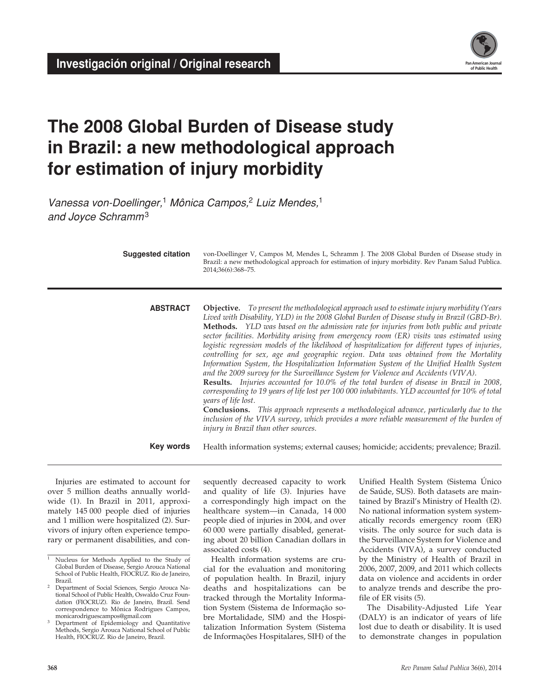

# **The 2008 Global Burden of Disease study in Brazil: a new methodological approach for estimation of injury morbidity**

*Vanessa von-Doellinger,*1 *Mônica Campos,*2 *Luiz Mendes,*<sup>1</sup> *and Joyce Schramm*<sup>3</sup>

| <b>Suggested citation</b> | von-Doellinger V, Campos M, Mendes L, Schramm J. The 2008 Global Burden of Disease study in<br>Brazil: a new methodological approach for estimation of injury morbidity. Rev Panam Salud Publica.<br>2014;36(6):368-75.                                                                                                                                                                                                                                                                                                                                                                                                                                                                                                                                                                                                                                                                                                                                                                                                                                                                                                                                                                                                |
|---------------------------|------------------------------------------------------------------------------------------------------------------------------------------------------------------------------------------------------------------------------------------------------------------------------------------------------------------------------------------------------------------------------------------------------------------------------------------------------------------------------------------------------------------------------------------------------------------------------------------------------------------------------------------------------------------------------------------------------------------------------------------------------------------------------------------------------------------------------------------------------------------------------------------------------------------------------------------------------------------------------------------------------------------------------------------------------------------------------------------------------------------------------------------------------------------------------------------------------------------------|
| <b>ABSTRACT</b>           | Objective. To present the methodological approach used to estimate injury morbidity (Years<br>Lived with Disability, YLD) in the 2008 Global Burden of Disease study in Brazil (GBD-Br).<br>Methods. YLD was based on the admission rate for injuries from both public and private<br>sector facilities. Morbidity arising from emergency room (ER) visits was estimated using<br>logistic regression models of the likelihood of hospitalization for different types of injuries,<br>controlling for sex, age and geographic region. Data was obtained from the Mortality<br>Information System, the Hospitalization Information System of the Unified Health System<br>and the 2009 survey for the Surveillance System for Violence and Accidents (VIVA).<br>Results. Injuries accounted for 10.0% of the total burden of disease in Brazil in 2008,<br>corresponding to 19 years of life lost per 100 000 inhabitants. YLD accounted for 10% of total<br>years of life lost.<br><b>Conclusions.</b> This approach represents a methodological advance, particularly due to the<br>inclusion of the VIVA survey, which provides a more reliable measurement of the burden of<br>injury in Brazil than other sources. |
| Key words                 | Health information systems; external causes; homicide; accidents; prevalence; Brazil.                                                                                                                                                                                                                                                                                                                                                                                                                                                                                                                                                                                                                                                                                                                                                                                                                                                                                                                                                                                                                                                                                                                                  |

Injuries are estimated to account for over 5 million deaths annually worldwide (1). In Brazil in 2011, approximately 145 000 people died of injuries and 1 million were hospitalized (2). Survivors of injury often experience temporary or permanent disabilities, and consequently decreased capacity to work and quality of life (3). Injuries have a correspondingly high impact on the healthcare system—in Canada, 14 000 people died of injuries in 2004, and over 60 000 were partially disabled, generating about 20 billion Canadian dollars in associated costs (4).

Health information systems are crucial for the evaluation and monitoring of population health. In Brazil, injury deaths and hospitalizations can be tracked through the Mortality Information System (Sistema de Informação sobre Mortalidade, SIM) and the Hospitalization Information System (Sistema de Informações Hospitalares, SIH) of the Unified Health System (Sistema Único de Saúde, SUS). Both datasets are maintained by Brazil's Ministry of Health (2). No national information system systematically records emergency room (ER) visits. The only source for such data is the Surveillance System for Violence and Accidents (VIVA), a survey conducted by the Ministry of Health of Brazil in 2006, 2007, 2009, and 2011 which collects data on violence and accidents in order to analyze trends and describe the profile of ER visits (5).

The Disability-Adjusted Life Year (DALY) is an indicator of years of life lost due to death or disability. It is used to demonstrate changes in population

<sup>1</sup> Nucleus for Methods Applied to the Study of Global Burden of Disease, Sergio Arouca National School of Public Health, FIOCRUZ. Rio de Janeiro,<br>Brazil.

<sup>&</sup>lt;sup>2</sup> Department of Social Sciences, Sergio Arouca National School of Public Health, Oswaldo Cruz Foundation (FIOCRUZ). Rio de Janeiro, Brazil. Send correspondence to Mônica Rodrigues Campos, monicarodriguescampos@gmail.com

Department of Epidemiology and Quantitative Methods, Sergio Arouca National School of Public Health, FIOCRUZ. Rio de Janeiro, Brazil.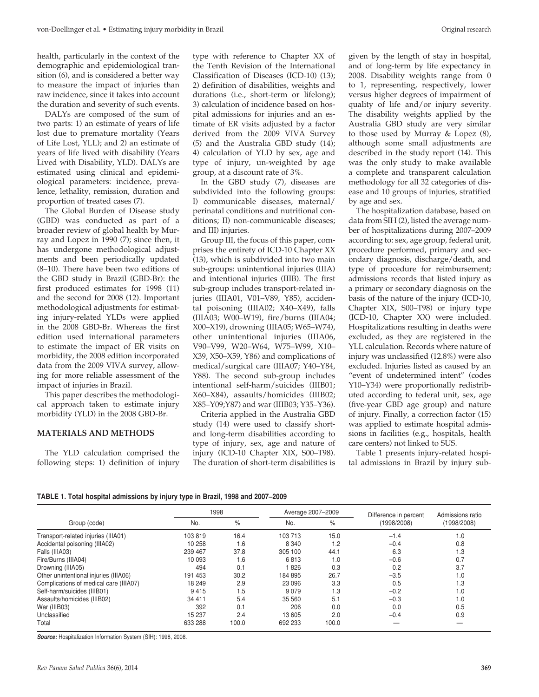health, particularly in the context of the demographic and epidemiological transition (6), and is considered a better way to measure the impact of injuries than raw incidence, since it takes into account the duration and severity of such events.

DALYs are composed of the sum of two parts: 1) an estimate of years of life lost due to premature mortality (Years of Life Lost, YLL); and 2) an estimate of years of life lived with disability (Years Lived with Disability, YLD). DALYs are estimated using clinical and epidemiological parameters: incidence, prevalence, lethality, remission, duration and proportion of treated cases (7).

The Global Burden of Disease study (GBD) was conducted as part of a broader review of global health by Murray and Lopez in 1990 (7); since then, it has undergone methodological adjustments and been periodically updated (8–10). There have been two editions of the GBD study in Brazil (GBD-Br): the first produced estimates for 1998 (11) and the second for 2008 (12). Important methodological adjustments for estimating injury-related YLDs were applied in the 2008 GBD-Br. Whereas the first edition used international parameters to estimate the impact of ER visits on morbidity, the 2008 edition incorporated data from the 2009 VIVA survey, allowing for more reliable assessment of the impact of injuries in Brazil.

This paper describes the methodological approach taken to estimate injury morbidity (YLD) in the 2008 GBD-Br.

### **MATERIALS AND METHODS**

The YLD calculation comprised the following steps: 1) definition of injury

type with reference to Chapter XX of the Tenth Revision of the International Classification of Diseases (ICD-10) (13); 2) definition of disabilities, weights and durations (i.e., short-term or lifelong); 3) calculation of incidence based on hospital admissions for injuries and an estimate of ER visits adjusted by a factor derived from the 2009 VIVA Survey (5) and the Australia GBD study (14); 4) calculation of YLD by sex, age and type of injury, un-weighted by age group, at a discount rate of 3%.

In the GBD study (7), diseases are subdivided into the following groups: I) communicable diseases, maternal/ perinatal conditions and nutritional conditions; II) non-communicable diseases; and III) injuries.

Group III, the focus of this paper, comprises the entirety of ICD-10 Chapter XX (13), which is subdivided into two main sub-groups: unintentional injuries (IIIA) and intentional injuries (IIIB). The first sub-group includes transport-related injuries (IIIA01, V01–V89, Y85), accidental poisoning (IIIA02; X40–X49), falls (IIIA03; W00–W19), fire/burns (IIIA04; X00–X19), drowning (IIIA05; W65–W74), other unintentional injuries (IIIA06, V90–V99, W20–W64, W75–W99, X10– X39, X50–X59, Y86) and complications of medical/surgical care (IIIA07; Y40–Y84, Y88). The second sub-group includes intentional self-harm/suicides (IIIB01; X60–X84), assaults/homicides (IIIB02; X85–Y09;Y87) and war (IIIB03; Y35–Y36).

Criteria applied in the Australia GBD study (14) were used to classify shortand long-term disabilities according to type of injury, sex, age and nature of injury (ICD-10 Chapter XIX, S00–T98). The duration of short-term disabilities is given by the length of stay in hospital, and of long-term by life expectancy in 2008. Disability weights range from 0 to 1, representing, respectively, lower versus higher degrees of impairment of quality of life and/or injury severity. The disability weights applied by the Australia GBD study are very similar to those used by Murray & Lopez (8), although some small adjustments are described in the study report (14). This was the only study to make available a complete and transparent calculation methodology for all 32 categories of disease and 10 groups of injuries, stratified by age and sex.

The hospitalization database, based on data from SIH (2), listed the average number of hospitalizations during 2007–2009 according to: sex, age group, federal unit, procedure performed, primary and secondary diagnosis, discharge/death, and type of procedure for reimbursement; admissions records that listed injury as a primary or secondary diagnosis on the basis of the nature of the injury (ICD-10, Chapter XIX, S00–T98) or injury type (ICD-10, Chapter XX) were included. Hospitalizations resulting in deaths were excluded, as they are registered in the YLL calculation. Records where nature of injury was unclassified (12.8%) were also excluded. Injuries listed as caused by an "event of undetermined intent" (codes Y10–Y34) were proportionally redistributed according to federal unit, sex, age (five-year GBD age group) and nature of injury. Finally, a correction factor (15) was applied to estimate hospital admissions in facilities (e.g., hospitals, health care centers) not linked to SUS.

Table 1 presents injury-related hospital admissions in Brazil by injury sub-

| TABLE 1. Total hospital admissions by injury type in Brazil, 1998 and 2007–2009 |
|---------------------------------------------------------------------------------|
|---------------------------------------------------------------------------------|

|                                        | 1998    |       | Average 2007-2009 |       | Difference in percent | Admissions ratio |  |
|----------------------------------------|---------|-------|-------------------|-------|-----------------------|------------------|--|
| Group (code)                           | No.     | $\%$  | No.               | $\%$  | (1998/2008)           | (1998/2008)      |  |
| Transport-related injuries (IIIA01)    | 103819  | 16.4  | 103 713           | 15.0  | $-1.4$                | 1.0              |  |
| Accidental poisoning (IIIA02)          | 10 258  | 1.6   | 8 3 4 0           | 1.2   | $-0.4$                | 0.8              |  |
| Falls (IIIA03)                         | 239 467 | 37.8  | 305 100           | 44.1  | 6.3                   | 1.3              |  |
| Fire/Burns (IIIA04)                    | 10 093  | 1.6   | 6813              | 1.0   | $-0.6$                | 0.7              |  |
| Drowning (IIIA05)                      | 494     | 0.1   | 826               | 0.3   | 0.2                   | 3.7              |  |
| Other unintentional injuries (IIIA06)  | 191 453 | 30.2  | 184 895           | 26.7  | $-3.5$                | 1.0              |  |
| Complications of medical care (IIIA07) | 18 249  | 2.9   | 23 096            | 3.3   | 0.5                   | 1.3              |  |
| Self-harm/suicides (IIIB01)            | 9415    | 1.5   | 9079              | 1.3   | $-0.2$                | 1.0              |  |
| Assaults/homicides (IIIB02)            | 34 411  | 5.4   | 35 560            | 5.1   | $-0.3$                | 1.0              |  |
| War (IIIB03)                           | 392     | 0.1   | 206               | 0.0   | 0.0                   | 0.5              |  |
| Unclassified                           | 15 237  | 2.4   | 13 605            | 2.0   | $-0.4$                | 0.9              |  |
| Total                                  | 633 288 | 100.0 | 692 233           | 100.0 |                       |                  |  |

*Source:* Hospitalization Information System (SIH): 1998, 2008.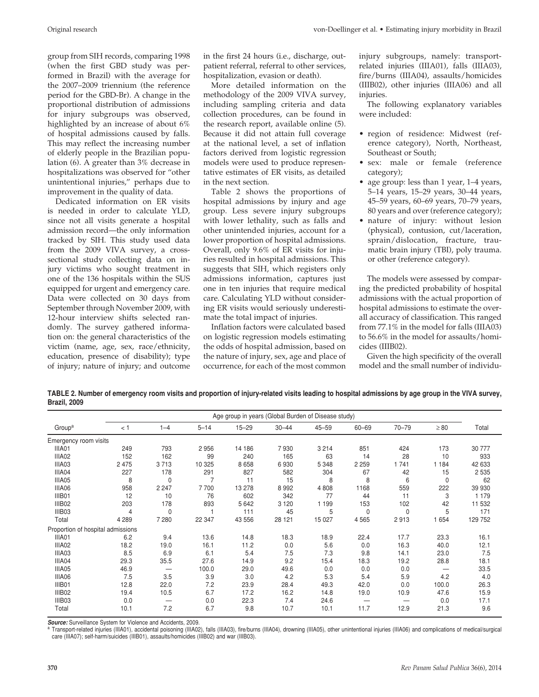group from SIH records, comparing 1998 (when the first GBD study was performed in Brazil) with the average for the 2007–2009 triennium (the reference period for the GBD-Br). A change in the proportional distribution of admissions for injury subgroups was observed, highlighted by an increase of about 6% of hospital admissions caused by falls. This may reflect the increasing number of elderly people in the Brazilian population (6). A greater than 3% decrease in hospitalizations was observed for "other unintentional injuries," perhaps due to improvement in the quality of data.

Dedicated information on ER visits is needed in order to calculate YLD, since not all visits generate a hospital admission record—the only information tracked by SIH. This study used data from the 2009 VIVA survey, a crosssectional study collecting data on injury victims who sought treatment in one of the 136 hospitals within the SUS equipped for urgent and emergency care. Data were collected on 30 days from September through November 2009, with 12-hour interview shifts selected randomly. The survey gathered information on: the general characteristics of the victim (name, age, sex, race/ethnicity, education, presence of disability); type of injury; nature of injury; and outcome

in the first 24 hours (i.e., discharge, outpatient referral, referral to other services, hospitalization, evasion or death).

More detailed information on the methodology of the 2009 VIVA survey, including sampling criteria and data collection procedures, can be found in the research report, available online (5). Because it did not attain full coverage at the national level, a set of inflation factors derived from logistic regression models were used to produce representative estimates of ER visits, as detailed in the next section.

Table 2 shows the proportions of hospital admissions by injury and age group. Less severe injury subgroups with lower lethality, such as falls and other unintended injuries, account for a lower proportion of hospital admissions. Overall, only 9.6% of ER visits for injuries resulted in hospital admissions. This suggests that SIH, which registers only admissions information, captures just one in ten injuries that require medical care. Calculating YLD without considering ER visits would seriously underestimate the total impact of injuries.

Inflation factors were calculated based on logistic regression models estimating the odds of hospital admission, based on the nature of injury, sex, age and place of occurrence, for each of the most common injury subgroups, namely: transportrelated injuries (IIIA01), falls (IIIA03), fire/burns (IIIA04), assaults/homicides (IIIB02), other injuries (IIIA06) and all injuries.

The following explanatory variables were included:

- region of residence: Midwest (reference category), North, Northeast, Southeast or South;
- sex: male or female (reference category);
- age group: less than 1 year, 1–4 years, 5–14 years, 15–29 years, 30–44 years, 45–59 years, 60–69 years, 70–79 years, 80 years and over (reference category);
- nature of injury: without lesion (physical), contusion, cut/laceration, sprain/dislocation, fracture, traumatic brain injury (TBI), poly trauma. or other (reference category).

The models were assessed by comparing the predicted probability of hospital admissions with the actual proportion of hospital admissions to estimate the overall accuracy of classification. This ranged from 77.1% in the model for falls (IIIA03) to 56.6% in the model for assaults/homicides (IIIB02).

Given the high specificity of the overall model and the small number of individu-

**TABLE 2. Number of emergency room visits and proportion of injury-related visits leading to hospital admissions by age group in the VIVA survey, Brazil, 2009**

|                                   |         | Age group in years (Global Burden of Disease study) |          |           |           |           |           |           |           |         |  |  |  |
|-----------------------------------|---------|-----------------------------------------------------|----------|-----------|-----------|-----------|-----------|-----------|-----------|---------|--|--|--|
| Group <sup>a</sup>                | $<$ 1   | $1 - 4$                                             | $5 - 14$ | $15 - 29$ | $30 - 44$ | $45 - 59$ | $60 - 69$ | $70 - 79$ | $\geq 80$ | Total   |  |  |  |
| Emergency room visits             |         |                                                     |          |           |           |           |           |           |           |         |  |  |  |
| IIIA01                            | 249     | 793                                                 | 2956     | 14 186    | 7930      | 3 2 1 4   | 851       | 424       | 173       | 30 777  |  |  |  |
| IIIA02                            | 152     | 162                                                 | 99       | 240       | 165       | 63        | 14        | 28        | 10        | 933     |  |  |  |
| IIIA03                            | 2 4 7 5 | 3713                                                | 10 325   | 8658      | 6930      | 5 3 4 8   | 2 2 5 9   | 1 7 4 1   | 1 1 8 4   | 42 633  |  |  |  |
| IIIA04                            | 227     | 178                                                 | 291      | 827       | 582       | 304       | 67        | 42        | 15        | 2 5 3 5 |  |  |  |
| IIIA05                            | 8       | $\mathbf 0$                                         | 7        | 11        | 15        | 8         | 8         | 6         | $\Omega$  | 62      |  |  |  |
| IIIA06                            | 958     | 2 2 4 7                                             | 7700     | 13 278    | 8992      | 4808      | 1168      | 559       | 222       | 39 930  |  |  |  |
| IIIB01                            | 12      | 10                                                  | 76       | 602       | 342       | 77        | 44        | 11        | 3         | 1 1 7 9 |  |  |  |
| IIIB02                            | 203     | 178                                                 | 893      | 5 6 4 2   | 3 1 2 0   | 1 1 9 9   | 153       | 102       | 42        | 11 532  |  |  |  |
| IIIB03                            | 4       | 0                                                   |          | 111       | 45        | 5         | 0         | 0         | 5         | 171     |  |  |  |
| Total                             | 4 2 8 9 | 7 2 8 0                                             | 22 347   | 43 556    | 28 121    | 15 027    | 4565      | 2913      | 1654      | 129 752 |  |  |  |
| Proportion of hospital admissions |         |                                                     |          |           |           |           |           |           |           |         |  |  |  |
| IIIA01                            | 6.2     | 9.4                                                 | 13.6     | 14.8      | 18.3      | 18.9      | 22.4      | 17.7      | 23.3      | 16.1    |  |  |  |
| IIIA02                            | 18.2    | 19.0                                                | 16.1     | 11.2      | 0.0       | 5.6       | 0.0       | 16.3      | 40.0      | 12.1    |  |  |  |
| IIIA03                            | 8.5     | 6.9                                                 | 6.1      | 5.4       | 7.5       | 7.3       | 9.8       | 14.1      | 23.0      | 7.5     |  |  |  |
| IIIA04                            | 29.3    | 35.5                                                | 27.6     | 14.9      | 9.2       | 15.4      | 18.3      | 19.2      | 28.8      | 18.1    |  |  |  |
| IIIA05                            | 46.9    |                                                     | 100.0    | 29.0      | 49.6      | 0.0       | 0.0       | 0.0       |           | 33.5    |  |  |  |
| IIIA06                            | 7.5     | 3.5                                                 | 3.9      | 3.0       | 4.2       | 5.3       | 5.4       | 5.9       | 4.2       | 4.0     |  |  |  |
| IIIB01                            | 12.8    | 22.0                                                | 7.2      | 23.9      | 28.4      | 49.3      | 42.0      | 0.0       | 100.0     | 26.3    |  |  |  |
| IIIB02                            | 19.4    | 10.5                                                | 6.7      | 17.2      | 16.2      | 14.8      | 19.0      | 10.9      | 47.6      | 15.9    |  |  |  |
| IIIB03                            | 0.0     |                                                     | 0.0      | 22.3      | 7.4       | 24.6      |           |           | 0.0       | 17.1    |  |  |  |
| Total                             | 10.1    | 7.2                                                 | 6.7      | 9.8       | 10.7      | 10.1      | 11.7      | 12.9      | 21.3      | 9.6     |  |  |  |

*Source:* Surveillance System for Violence and Accidents, 2009.

a Transport-related injuries (IIIA01), accidental poisoning (IIIA02), falls (IIIA03), fire/burns (IIIA04), drowning (IIIA05), other unintentional injuries (IIIA06) and complications of medical/surgical care (IIIA07); self-harm/suicides (IIIB01), assaults/homicides (IIIB02) and war (IIIB03).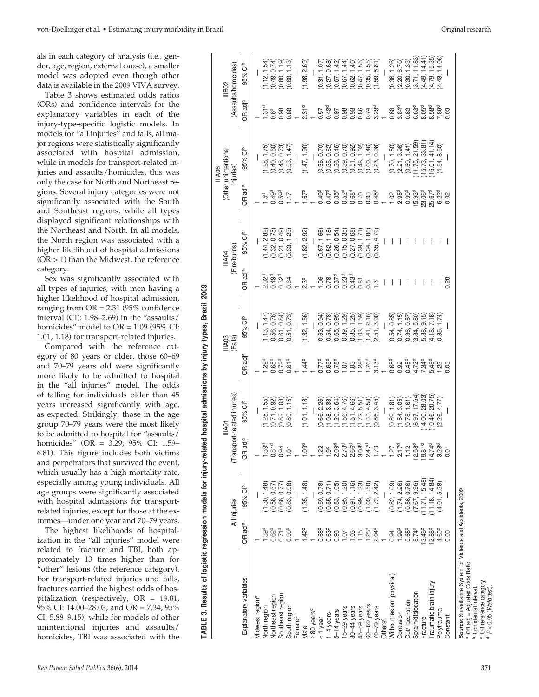als in each category of analysis (i.e., gender, age, region, external cause), a smaller model was adopted even though other data is available in the 2009 VIVA survey.

Table 3 shows estimated odds ratios (ORs) and confidence intervals for the explanatory variables in each of the injury-type-specific logistic models. In models for "all injuries" and falls, all major regions were statistically significantly associated with hospital admission, while in models for transport-related injuries and assaults/homicides, this was only the case for North and Northeast regions. Several injury categories were not significantly associated with the South and Southeast regions, while all types displayed significant relationships with the Northeast and North. In all models, the North region was associated with a higher likelihood of hospital admissions  $(OR > 1)$  than the Midwest, the reference category.

Sex was significantly associated with all types of injuries, with men having a higher likelihood of hospital admission, ranging from  $OR = 2.31$  (95% confidence interval (CI): 1.98–2.69) in the "assaults/ homicides" model to OR = 1.09 (95% CI: 1.01, 1.18) for transport-related injuries.

Compared with the reference category of 80 years or older, those 60–69 and 70–79 years old were significantly more likely to be admitted to hospital in the "all injuries" model. The odds of falling for individuals older than 45 years increased significantly with age, as expected. Strikingly, those in the age group 70–79 years were the most likely to be admitted to hospital for "assaults/ homicides" (OR = 3.29, 95% CI: 1.59– 6.81). This figure includes both victims and perpetrators that survived the event, which usually has a high mortality rate, especially among young individuals. All age groups were significantly associated with hospital admissions for transportrelated injuries, except for those at the extremes—under one year and 70–79 years. all types of injuries, with men having a<br>higher likelihood of hospital admission,<br>tranging from OR = 2.31 (95% confidence<br>interval (CI): 1.98–2.69) in the "assaults/<br>homicides" model to OR = 1.09 (95% CI:<br>1.01, 11.8) for t

The highest likelihoods of hospitalization in the "all injuries" model were related to fracture and TBI, both approximately 13 times higher than for "other" lesions (the reference category). For transport-related injuries and falls, fractures carried the highest odds of hospitalization (respectively, OR = 19.81, 95% CI: 14.00–28.03; and OR = 7.34, 95% CI: 5.88–9.15), while for models of other unintentional injuries and assaults/

|                                                                                                 |                     |                                    |                                                   |                                                    |                       |                   |                                                                                                                    |                        |                          | IIIA06                               |                                               |                                |
|-------------------------------------------------------------------------------------------------|---------------------|------------------------------------|---------------------------------------------------|----------------------------------------------------|-----------------------|-------------------|--------------------------------------------------------------------------------------------------------------------|------------------------|--------------------------|--------------------------------------|-----------------------------------------------|--------------------------------|
|                                                                                                 |                     | All injuries                       |                                                   | (Transport-related injuries)<br><b>IIIAO1</b>      |                       | IIIA03<br>(Falls) |                                                                                                                    | (Fire/burns)<br>IIIA04 |                          | (Other unintentional<br>injuries     |                                               | (Assaults/homicides)<br>IIIB02 |
| Explanatory variables                                                                           | OR adj <sup>a</sup> | 95% Clb                            | adj <sup>a</sup><br>$\frac{1}{2}$                 | 95% Clb                                            | OR adj <sup>a</sup>   | 95% Clb           | OR adj <sup>a</sup>                                                                                                | 95% Clb                | OR adj <sup>a</sup>      | 95% Clb                              | OR adj <sup>a</sup>                           | 95% Cl <sup>b</sup>            |
| Midwest region <sup>c</sup>                                                                     |                     |                                    |                                                   |                                                    |                       |                   |                                                                                                                    |                        |                          |                                      |                                               |                                |
| North region                                                                                    | $1.39^{\circ}$      | 1.30, 1.48                         |                                                   | 1.25, 1.55                                         | 1.29 <sup>d</sup>     | (1.13, 1.47)      | 2.02 <sup>d</sup>                                                                                                  | (1.44, 2.82)           | $-5d$                    | (1.28, 1.75)                         | 1.31 <sup>d</sup>                             | 1.12, 1.54                     |
| Northeast region                                                                                | 0.62 <sup>d</sup>   | (0.58, 0.67)                       | $1.39d$<br>0.81 <sup>d</sup>                      | (0.71, 0.92)                                       | $0.65^{\rm d}$        | (0.56, 0.76)      | 0.49 <sup>d</sup>                                                                                                  | (0.32, 0.75)           | 0.49 <sup>d</sup>        | (0.40, 0.60)                         |                                               | (0.49, 0.74)                   |
| Southeast region                                                                                | 0.71 <sup>d</sup>   | (0.66, 0.77)                       |                                                   | (0.82, 1.08)                                       | $0.72^{d}$            | (0.61, 0.84)      | 0.32 <sup>d</sup>                                                                                                  | (0.21, 0.49)           | 0.59 <sup>d</sup>        | (0.48, 0.73)                         | $0.6d$<br>0.98                                | (0.80, 1.19)                   |
| South region                                                                                    | 0.90 <sup>d</sup>   | (0.83, 0.98)                       | $\overline{ }$<br>$\overline{0}$                  | (0.89, 1.15)                                       | 0.61 <sup>d</sup>     | (0.51, 0.73)      | 0.64                                                                                                               | (0.33, 1.23)           | 1.17                     | (0.93, 1.47)                         | 0.88                                          | (0.68, 1.13)                   |
| emale <sup>c</sup>                                                                              |                     |                                    |                                                   |                                                    |                       |                   |                                                                                                                    |                        |                          |                                      |                                               |                                |
| Male                                                                                            | $-42^{\circ}$       | (1.35, 1.48)                       | ్య<br>$\bar{\mathbf{e}}$                          | (1.01, 1.18)                                       | $1.44^{\circ}$        | (1.32, 1.56)      | 2.3 <sup>d</sup>                                                                                                   | (1.82, 2.92)           | 1.67 <sup>d</sup>        | (1.47, 1.90)                         | 2.31 <sup>d</sup>                             | (1.98, 2.69)                   |
| $\geq 80$ years <sup>c</sup>                                                                    |                     |                                    |                                                   |                                                    |                       |                   |                                                                                                                    |                        |                          |                                      |                                               |                                |
| 1 year                                                                                          | 0.68 <sup>d</sup>   | (0.59, 0.78)                       |                                                   | (0.66, 2.26)                                       | $0.77^{\circ}$        | (0.63, 0.94)      |                                                                                                                    | 0.67, 1.66             | $0.49^d$                 | (0.35, 0.70)                         | 0.57                                          | (0.31, 1.07                    |
| -4 years                                                                                        | 0.63 <sup>d</sup>   | (0.55, 0.71)                       | 1.9 <sup>d</sup>                                  | (1.08, 3.33)                                       | $0.65d$<br>$0.78d$    | (0.54, 0.78)      |                                                                                                                    | (0.52, 1.18)           | $0.47^{d}$<br>$0.35^{d}$ | (0.35, 0.62)                         | 0.43 <sup>d</sup>                             | (0.27, 0.68)                   |
| $-14$ years                                                                                     | 0.93                | (0.83, 1.05)                       | $\frac{5}{2}$                                     | (1.20, 3.64)                                       |                       | (0.65, 0.95)      |                                                                                                                    | (0.26, 0.54)           |                          | (0.26, 0.46)                         |                                               | (0.67, 1.42)                   |
| $5-29$ years                                                                                    | 1.07                | (0.95, 1.20)                       | ้ อิซิ ซิ ซิ ซิ<br>2 0 0 0 0 0 1<br>: ณ ณ ณ ๓ ณ + | (1.56, 4.76)                                       | 1.07                  | (0.89, 1.29)      | $\begin{array}{l} 0 & 0 & 0 & 0 & 0 \\ 0 & 0 & 0 & 0 & 0 \\ 0 & 0 & 0 & 0 & 0 \\ 0 & 0 & 0 & 0 & 0 \\ \end{array}$ | (0.15, 0.35)           | 0.52 <sup>d</sup>        | (0.39, 0.70)                         |                                               | (0.67, 1.44)                   |
| 30-44 years                                                                                     | 1.03                | (0.91, 1.16)                       |                                                   |                                                    | 1.03                  | (0.85, 1.25)      |                                                                                                                    | (0.27, 0.68)           | 0.68 <sup>d</sup>        | (0.51, 0.92)                         |                                               | (0.62, 1.40)                   |
| 45-59 years                                                                                     | 1.15                | (0.99, 1.33)                       |                                                   |                                                    |                       | (1.03, 1.59)      |                                                                                                                    | (0.39, 1.71)           |                          | (0.48, 1.02)                         |                                               | (0.47, 1.55)                   |
| $60 - 69$ years                                                                                 | 1.28 <sup>d</sup>   | 1.09, 1.50                         | 24                                                | $(1.51, 4.66)$<br>$(1.72, 5.51)$<br>$(1.33, 4.58)$ | 1.76 <sup>d</sup>     | (1.41, 2.18)      |                                                                                                                    | (0.34, 1.88)           | 0.93                     | (0.60, 1.46)                         |                                               | (0.35, 1.55)                   |
| $79$ years                                                                                      | 2.04 <sup>d</sup>   | 1.72, 2.42                         |                                                   | (0.86, 3.45)                                       | $3.13^{d}$            | (2.51, 3.90)      | $\frac{3}{1}$                                                                                                      | 0.35, 4.79             | $0.48^{d}$               | (0.23, 0.98)                         |                                               | (1.59, 6.81)                   |
| <b>Others<sup>c</sup></b>                                                                       |                     |                                    |                                                   |                                                    |                       |                   |                                                                                                                    |                        |                          |                                      |                                               |                                |
| Nithout lesion (physical)                                                                       | 0.94                | (0.82, 1.09)                       |                                                   | (0.89, 1.81)                                       | 0.68 <sup>d</sup>     | (0.54, 0.85)      |                                                                                                                    |                        | 1.02                     | (0.70, 1.50)                         |                                               | (0.36, 1.26)                   |
| Contusion                                                                                       | 1.99 <sup>d</sup>   | (1.74, 2.26)                       |                                                   | (1.54, 3.05)                                       | 0.92                  | (0.74, 1.15)      |                                                                                                                    |                        | 2.95 <sup>d</sup>        | (2.21, 3.96)                         |                                               | (2.20, 6.70)                   |
| Cut/ laceration                                                                                 | 0.65 <sup>d</sup>   | (0.56, 0.76)                       |                                                   | (0.78, 1.61)                                       |                       | (0.36, 0.57)      |                                                                                                                    |                        | 0.99 <sup>d</sup>        | (0.69, 1.41)                         |                                               | (0.30, 1.33)                   |
| Sprain/dislocation                                                                              | 8.74 <sup>d</sup>   | $(7.67, 9.96)$<br>$(11.71, 15.48)$ | 12.58                                             | $(8.97, 17.64)$<br>(14.00, 28.03)                  | 0.47<br>0.724<br>0.47 | (3.84, 5.80)      |                                                                                                                    |                        | 15.93 <sup>d</sup>       | $(11.75, 21.59)$<br>$(15.73, 33.81)$ | 0<br>0<br>0 0 0 0 0<br>0 0 0 0 0<br>0 0 0 0 0 | (3.71, 11.83)                  |
| -racture                                                                                        | 13.46 <sup>d</sup>  |                                    | 19.8                                              |                                                    |                       | (5.88, 9.15)      |                                                                                                                    |                        | 23.06 <sup>d</sup>       |                                      |                                               | (4.49, 14.41)                  |
| raumatic brain injury                                                                           | $12.88^{d}$         | 11.18, 14.84)                      | ಕೆ ಹಿ<br>14.7                                     | 10.46, 20.75                                       | 5.48 <sup>d</sup>     | (4.18, 7.18)      |                                                                                                                    |                        | 25.67 <sup>d</sup>       | 16.01, 41.14                         | 8.58 <sup>d</sup>                             | (4.79, 15.35)                  |
| Polytrauma                                                                                      | 4.60 <sup>d</sup>   | (4.01, 5.28)                       | $\frac{5}{2}$                                     | (2.26, 4.77)                                       | 1.22                  | 0.85, 1.74        |                                                                                                                    |                        | 6.22 <sup>d</sup>        | (4.54, 8.50)                         |                                               | (4.43, 14.06)                  |
| Constant                                                                                        | 0.03                |                                    | $\overline{0}$                                    |                                                    | 0.05                  |                   | 0.28                                                                                                               |                        | 0.02                     |                                      | 0.03                                          |                                |
| Source: Surveillance System for Violence and Accidents, 2009.<br>a OD odi – Adiustod Oddo Dotio |                     |                                    |                                                   |                                                    |                       |                   |                                                                                                                    |                        |                          |                                      |                                               |                                |

**Source:** Surveillance System for Violence and Accidents, 2009<br>ª OR adj = Adjusted Odds Ratio.<br><sup>b</sup> Confidential interval.<br><sup>c</sup> OR reference category.<br>d *P* < 0.05 (*Wald* test).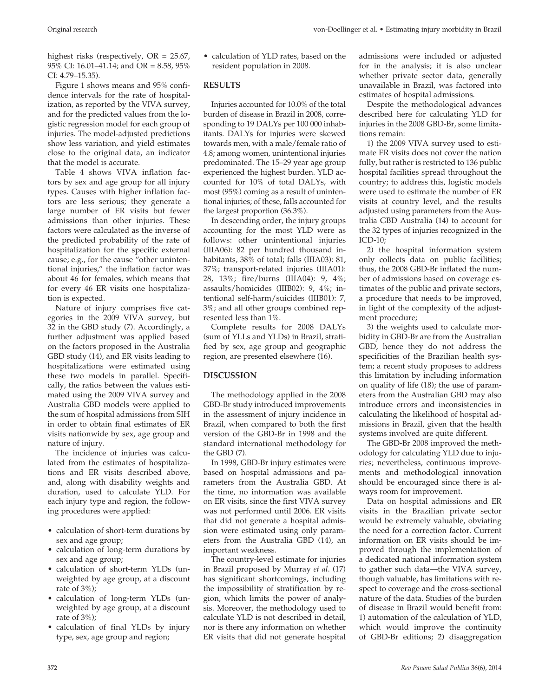highest risks (respectively, OR = 25.67, 95% CI: 16.01–41.14; and OR = 8.58, 95% CI: 4.79–15.35).

Figure 1 shows means and 95% confidence intervals for the rate of hospitalization, as reported by the VIVA survey, and for the predicted values from the logistic regression model for each group of injuries. The model-adjusted predictions show less variation, and yield estimates close to the original data, an indicator that the model is accurate.

Table 4 shows VIVA inflation factors by sex and age group for all injury types. Causes with higher inflation factors are less serious; they generate a large number of ER visits but fewer admissions than other injuries. These factors were calculated as the inverse of the predicted probability of the rate of hospitalization for the specific external cause; e.g., for the cause "other unintentional injuries," the inflation factor was about 46 for females, which means that for every 46 ER visits one hospitalization is expected.

Nature of injury comprises five categories in the 2009 VIVA survey, but 32 in the GBD study (7). Accordingly, a further adjustment was applied based on the factors proposed in the Australia GBD study (14), and ER visits leading to hospitalizations were estimated using these two models in parallel. Specifically, the ratios between the values estimated using the 2009 VIVA survey and Australia GBD models were applied to the sum of hospital admissions from SIH in order to obtain final estimates of ER visits nationwide by sex, age group and nature of injury.

The incidence of injuries was calculated from the estimates of hospitalizations and ER visits described above, and, along with disability weights and duration, used to calculate YLD. For each injury type and region, the following procedures were applied:

- calculation of short-term durations by sex and age group;
- calculation of long-term durations by sex and age group;
- calculation of short-term YLDs (unweighted by age group, at a discount rate of 3%);
- calculation of long-term YLDs (unweighted by age group, at a discount rate of 3%);
- calculation of final YLDs by injury type, sex, age group and region;

• calculation of YLD rates, based on the resident population in 2008.

## **RESULTS**

Injuries accounted for 10.0% of the total burden of disease in Brazil in 2008, corresponding to 19 DALYs per 100 000 inhabitants. DALYs for injuries were skewed towards men, with a male/female ratio of 4.8; among women, unintentional injuries predominated. The 15–29 year age group experienced the highest burden. YLD accounted for 10% of total DALYs, with most (95%) coming as a result of unintentional injuries; of these, falls accounted for the largest proportion (36.3%).

In descending order, the injury groups accounting for the most YLD were as follows: other unintentional injuries (IIIA06): 82 per hundred thousand inhabitants, 38% of total; falls (IIIA03): 81, 37%; transport-related injuries (IIIA01): 28, 13%; fire/burns (IIIA04): 9, 4%; assaults/homicides (IIIB02): 9, 4%; intentional self-harm/suicides (IIIB01): 7, 3%; and all other groups combined represented less than 1%.

Complete results for 2008 DALYs (sum of YLLs and YLDs) in Brazil, stratified by sex, age group and geographic region, are presented elsewhere (16).

# **DISCUSSION**

The methodology applied in the 2008 GBD-Br study introduced improvements in the assessment of injury incidence in Brazil, when compared to both the first version of the GBD-Br in 1998 and the standard international methodology for the GBD (7).

In 1998, GBD-Br injury estimates were based on hospital admissions and parameters from the Australia GBD. At the time, no information was available on ER visits, since the first VIVA survey was not performed until 2006. ER visits that did not generate a hospital admission were estimated using only parameters from the Australia GBD (14), an important weakness.

The country-level estimate for injuries in Brazil proposed by Murray *et al*. (17) has significant shortcomings, including the impossibility of stratification by region, which limits the power of analysis. Moreover, the methodology used to calculate YLD is not described in detail, nor is there any information on whether ER visits that did not generate hospital admissions were included or adjusted for in the analysis; it is also unclear whether private sector data, generally unavailable in Brazil, was factored into estimates of hospital admissions.

Despite the methodological advances described here for calculating YLD for injuries in the 2008 GBD-Br, some limitations remain:

1) the 2009 VIVA survey used to estimate ER visits does not cover the nation fully, but rather is restricted to 136 public hospital facilities spread throughout the country; to address this, logistic models were used to estimate the number of ER visits at country level, and the results adjusted using parameters from the Australia GBD Australia (14) to account for the 32 types of injuries recognized in the ICD-10;

2) the hospital information system only collects data on public facilities; thus, the 2008 GBD-Br inflated the number of admissions based on coverage estimates of the public and private sectors, a procedure that needs to be improved, in light of the complexity of the adjustment procedure;

3) the weights used to calculate morbidity in GBD-Br are from the Australian GBD, hence they do not address the specificities of the Brazilian health system; a recent study proposes to address this limitation by including information on quality of life (18); the use of parameters from the Australian GBD may also introduce errors and inconsistencies in calculating the likelihood of hospital admissions in Brazil, given that the health systems involved are quite different.

The GBD-Br 2008 improved the methodology for calculating YLD due to injuries; nevertheless, continuous improvements and methodological innovation should be encouraged since there is always room for improvement.

Data on hospital admissions and ER visits in the Brazilian private sector would be extremely valuable, obviating the need for a correction factor. Current information on ER visits should be improved through the implementation of a dedicated national information system to gather such data—the VIVA survey, though valuable, has limitations with respect to coverage and the cross-sectional nature of the data. Studies of the burden of disease in Brazil would benefit from: 1) automation of the calculation of YLD, which would improve the continuity of GBD-Br editions; 2) disaggregation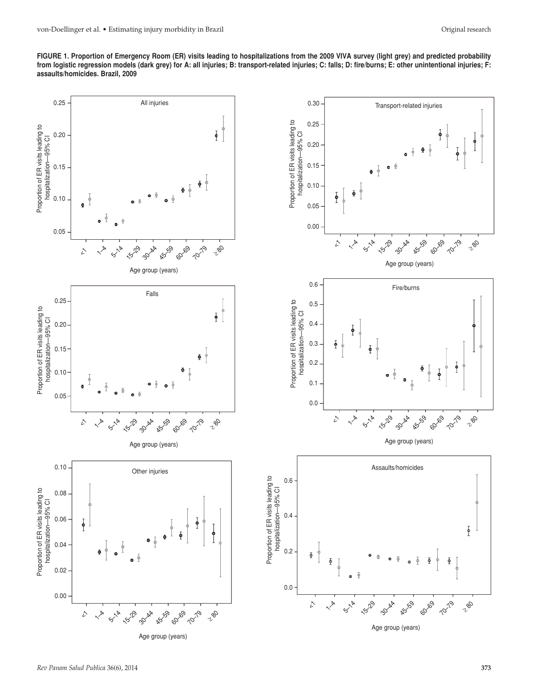**FIGURE 1. Proportion of Emergency Room (ER) visits leading to hospitalizations from the 2009 VIVA survey (light grey) and predicted probability from logistic regression models (dark grey) for A: all injuries; B: transport-related injuries; C: falls; D: fire/burns; E: other unintentional injuries; F: assaults/homicides. Brazil, 2009**

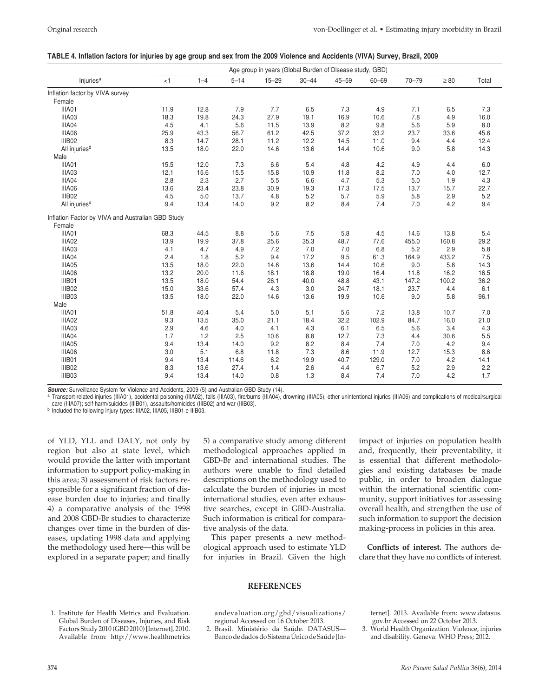#### **Table 4. Inflation factors for injuries by age group and sex from the 2009 Violence and Accidents (VIVA) Survey, Brazil, 2009**

|                                                   |      |         |          | Age group in years (Global Burden of Disease study, GBD) |           |           |           |           |           |       |
|---------------------------------------------------|------|---------|----------|----------------------------------------------------------|-----------|-----------|-----------|-----------|-----------|-------|
| Injuries <sup>a</sup>                             | < 1  | $1 - 4$ | $5 - 14$ | $15 - 29$                                                | $30 - 44$ | $45 - 59$ | $60 - 69$ | $70 - 79$ | $\geq 80$ | Total |
| Inflation factor by VIVA survey                   |      |         |          |                                                          |           |           |           |           |           |       |
| Female                                            |      |         |          |                                                          |           |           |           |           |           |       |
| IIIA01                                            | 11.9 | 12.8    | 7.9      | 7.7                                                      | 6.5       | 7.3       | 4.9       | 7.1       | 6.5       | 7.3   |
| IIIA03                                            | 18.3 | 19.8    | 24.3     | 27.9                                                     | 19.1      | 16.9      | 10.6      | 7.8       | 4.9       | 16.0  |
| IIIA04                                            | 4.5  | 4.1     | 5.6      | 11.5                                                     | 13.9      | 8.2       | 9.8       | 5.6       | 5.9       | 8.0   |
| IIIA06                                            | 25.9 | 43.3    | 56.7     | 61.2                                                     | 42.5      | 37.2      | 33.2      | 23.7      | 33.6      | 45.6  |
| IIIB02                                            | 8.3  | 14.7    | 28.1     | 11.2                                                     | 12.2      | 14.5      | 11.0      | 9.4       | 4.4       | 12.4  |
| All injuries <sup>d</sup>                         | 13.5 | 18.0    | 22.0     | 14.6                                                     | 13.6      | 14.4      | 10.6      | 9.0       | 5.8       | 14.3  |
| Male                                              |      |         |          |                                                          |           |           |           |           |           |       |
| IIIA01                                            | 15.5 | 12.0    | 7.3      | 6.6                                                      | 5.4       | 4.8       | 4.2       | 4.9       | 4.4       | 6.0   |
| IIIA03                                            | 12.1 | 15.6    | 15.5     | 15.8                                                     | 10.9      | 11.8      | 8.2       | 7.0       | 4.0       | 12.7  |
| IIIA04                                            | 2.8  | 2.3     | 2.7      | 5.5                                                      | 6.6       | 4.7       | 5.3       | 5.0       | 1.9       | 4.3   |
| IIIA06                                            | 13.6 | 23.4    | 23.8     | 30.9                                                     | 19.3      | 17.3      | 17.5      | 13.7      | 15.7      | 22.7  |
| IIIB02                                            | 4.5  | 5.0     | 13.7     | 4.8                                                      | 5.2       | 5.7       | 5.9       | 5.8       | 2.9       | 5.2   |
| All injuries <sup>d</sup>                         | 9.4  | 13.4    | 14.0     | 9.2                                                      | 8.2       | 8.4       | 7.4       | 7.0       | 4.2       | 9.4   |
| Inflation Factor by VIVA and Australian GBD Study |      |         |          |                                                          |           |           |           |           |           |       |
| Female                                            |      |         |          |                                                          |           |           |           |           |           |       |
| IIIA01                                            | 68.3 | 44.5    | 8.8      | 5.6                                                      | 7.5       | 5.8       | 4.5       | 14.6      | 13.8      | 5.4   |
| IIIA02                                            | 13.9 | 19.9    | 37.8     | 25.6                                                     | 35.3      | 48.7      | 77.6      | 455.0     | 160.8     | 29.2  |
| IIIA03                                            | 4.1  | 4.7     | 4.9      | 7.2                                                      | 7.0       | 7.0       | 6.8       | 5.2       | 2.9       | 5.8   |
| IIIA04                                            | 2.4  | 1.8     | 5.2      | 9.4                                                      | 17.2      | 9.5       | 61.3      | 164.9     | 433.2     | 7.5   |
| IIIA05                                            | 13.5 | 18.0    | 22.0     | 14.6                                                     | 13.6      | 14.4      | 10.6      | 9.0       | 5.8       | 14.3  |
| IIIA06                                            | 13.2 | 20.0    | 11.6     | 18.1                                                     | 18.8      | 19.0      | 16.4      | 11.8      | 16.2      | 16.5  |
| IIIB01                                            | 13.5 | 18.0    | 54.4     | 26.1                                                     | 40.0      | 48.8      | 43.1      | 147.2     | 100.2     | 36.2  |
| IIIB02                                            | 15.0 | 33.6    | 57.4     | 4.3                                                      | 3.0       | 24.7      | 18.1      | 23.7      | 4.4       | 6.1   |
| IIIB03                                            | 13.5 | 18.0    | 22.0     | 14.6                                                     | 13.6      | 19.9      | 10.6      | 9.0       | 5.8       | 96.1  |
| Male                                              |      |         |          |                                                          |           |           |           |           |           |       |
| IIIA01                                            | 51.8 | 40.4    | 5.4      | 5.0                                                      | 5.1       | 5.6       | 7.2       | 13.8      | 10.7      | 7.0   |
| IIIA02                                            | 9.3  | 13.5    | 35.0     | 21.1                                                     | 18.4      | 32.2      | 102.9     | 84.7      | 16.0      | 21.0  |
| IIIA03                                            | 2.9  | 4.6     | 4.0      | 4.1                                                      | 4.3       | 6.1       | 6.5       | 5.6       | 3.4       | 4.3   |
| IIIA04                                            | 1.7  | 1.2     | 2.5      | 10.6                                                     | 8.8       | 12.7      | 7.3       | 4.4       | 30.6      | 5.5   |
| IIIA05                                            | 9.4  | 13.4    | 14.0     | 9.2                                                      | 8.2       | 8.4       | 7.4       | 7.0       | 4.2       | 9.4   |
| IIIA06                                            | 3.0  | 5.1     | 6.8      | 11.8                                                     | 7.3       | 8.6       | 11.9      | 12.7      | 15.3      | 8.6   |
| IIIB01                                            | 9.4  | 13.4    | 114.6    | $6.2\,$                                                  | 19.9      | 40.7      | 129.0     | 7.0       | 4.2       | 14.1  |
| IIIB02                                            | 8.3  | 13.6    | 27.4     | 1.4                                                      | 2.6       | 4.4       | 6.7       | 5.2       | 2.9       | 2.2   |
| IIIB03                                            | 9.4  | 13.4    | 14.0     | 0.8                                                      | 1.3       | 8.4       | 7.4       | 7.0       | 4.2       | 1.7   |
|                                                   |      |         |          |                                                          |           |           |           |           |           |       |

*Source:* Surveillance System for Violence and Accidents, 2009 (5) and Australian GBD Study (14).

a Transport-related injuries (IIIA01), accidental poisoning (IIIA02), falls (IIIA03), fire/burns (IIIA04), drowning (IIIA05), other unintentional injuries (IIIA06) and complications of medical/surgical care (IIIA07); self-harm/suicides (IIIB01), assaults/homicides (IIIB02) and war (IIIB03).<br><sup>b</sup> Included the following injury types: IIIA02, IIIA05, IIIB01 e IIIB03.

of YLD, YLL and DALY, not only by region but also at state level, which would provide the latter with important information to support policy-making in this area; 3) assessment of risk factors responsible for a significant fraction of disease burden due to injuries; and finally 4) a comparative analysis of the 1998 and 2008 GBD-Br studies to characterize changes over time in the burden of diseases, updating 1998 data and applying the methodology used here—this will be explored in a separate paper; and finally 5) a comparative study among different methodological approaches applied in GBD-Br and international studies. The authors were unable to find detailed descriptions on the methodology used to calculate the burden of injuries in most international studies, even after exhaustive searches, except in GBD-Australia. Such information is critical for comparative analysis of the data.

This paper presents a new methodological approach used to estimate YLD for injuries in Brazil. Given the high impact of injuries on population health and, frequently, their preventability, it is essential that different methodologies and existing databases be made public, in order to broaden dialogue within the international scientific community, support initiatives for assessing overall health, and strengthen the use of such information to support the decision making-process in policies in this area.

**Conflicts of interest.** The authors declare that they have no conflicts of interest.

## **REFERENCES**

1. Institute for Health Metrics and Evaluation. Global Burden of Diseases, Injuries, and Risk Factors Study 2010 (GBD 2010) [Internet]. 2010. Available from: http://www.healthmetrics

andevaluation.org/gbd/visualizations/ regional Accessed on 16 October 2013.

2. Brasil. Ministério da Saúde. DATASUS— Banco de dados do Sistema Único de Saúde [Internet]. 2013. Available from: www.datasus. gov.br Accessed on 22 October 2013.

3. World Health Organization. Violence, injuries and disability. Geneva: WHO Press; 2012.